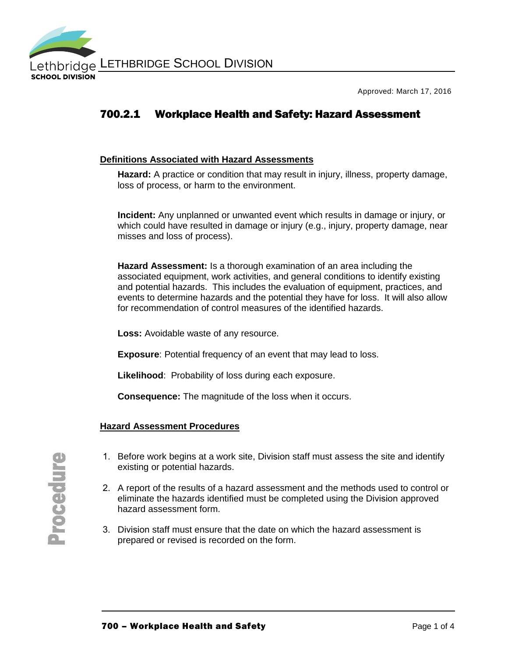

Approved: March 17, 2016

# 700.2.1 Workplace Health and Safety: Hazard Assessment

#### **Definitions Associated with Hazard Assessments**

**Hazard:** A practice or condition that may result in injury, illness, property damage, loss of process, or harm to the environment.

**Incident:** Any unplanned or unwanted event which results in damage or injury, or which could have resulted in damage or injury (e.g., injury, property damage, near misses and loss of process).

**Hazard Assessment:** Is a thorough examination of an area including the associated equipment, work activities, and general conditions to identify existing and potential hazards. This includes the evaluation of equipment, practices, and events to determine hazards and the potential they have for loss. It will also allow for recommendation of control measures of the identified hazards.

**Loss:** Avoidable waste of any resource.

**Exposure**: Potential frequency of an event that may lead to loss.

**Likelihood**: Probability of loss during each exposure.

**Consequence:** The magnitude of the loss when it occurs.

#### **Hazard Assessment Procedures**

- 1. Before work begins at a work site, Division staff must assess the site and identify existing or potential hazards.
- 2. A report of the results of a hazard assessment and the methods used to control or eliminate the hazards identified must be completed using the Division approved hazard assessment form.
- 3. Division staff must ensure that the date on which the hazard assessment is prepared or revised is recorded on the form.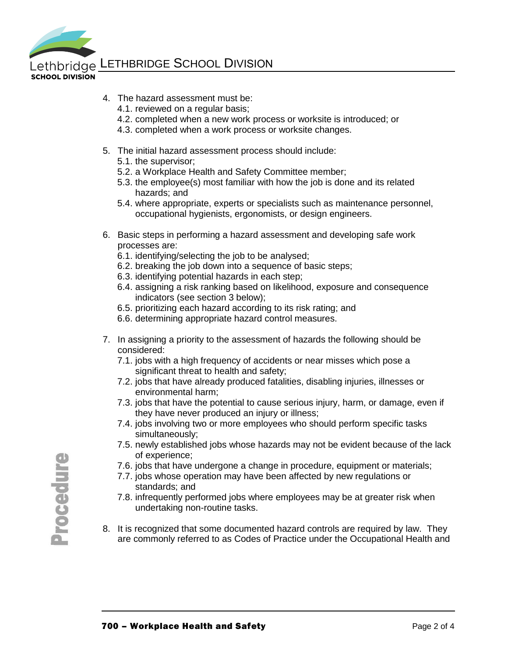

Lethbridge LETHBRIDGE SCHOOL DIVISION

- **SCHOOL DIVISION**
- 4. The hazard assessment must be:
	- 4.1. reviewed on a regular basis;
	- 4.2. completed when a new work process or worksite is introduced; or
	- 4.3. completed when a work process or worksite changes.
- 5. The initial hazard assessment process should include:
	- 5.1. the supervisor;
	- 5.2. a Workplace Health and Safety Committee member;
	- 5.3. the employee(s) most familiar with how the job is done and its related hazards; and
	- 5.4. where appropriate, experts or specialists such as maintenance personnel, occupational hygienists, ergonomists, or design engineers.
- 6. Basic steps in performing a hazard assessment and developing safe work processes are:
	- 6.1. identifying/selecting the job to be analysed;
	- 6.2. breaking the job down into a sequence of basic steps;
	- 6.3. identifying potential hazards in each step;
	- 6.4. assigning a risk ranking based on likelihood, exposure and consequence indicators (see section 3 below);
	- 6.5. prioritizing each hazard according to its risk rating; and
	- 6.6. determining appropriate hazard control measures.
- 7. In assigning a priority to the assessment of hazards the following should be considered:
	- 7.1. jobs with a high frequency of accidents or near misses which pose a significant threat to health and safety;
	- 7.2. jobs that have already produced fatalities, disabling injuries, illnesses or environmental harm;
	- 7.3. jobs that have the potential to cause serious injury, harm, or damage, even if they have never produced an injury or illness;
	- 7.4. jobs involving two or more employees who should perform specific tasks simultaneously;
	- 7.5. newly established jobs whose hazards may not be evident because of the lack of experience;
	- 7.6. jobs that have undergone a change in procedure, equipment or materials;
	- 7.7. jobs whose operation may have been affected by new regulations or standards; and
	- 7.8. infrequently performed jobs where employees may be at greater risk when undertaking non-routine tasks.
- 8. It is recognized that some documented hazard controls are required by law. They are commonly referred to as Codes of Practice under the Occupational Health and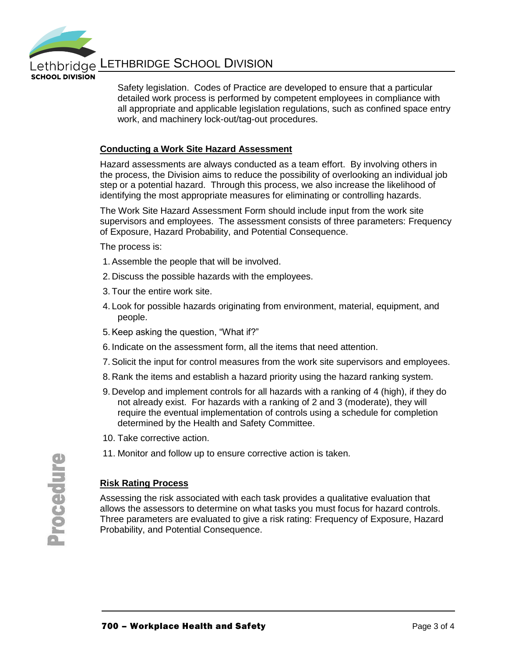

**SCHOOL DIVISION** 

Lethbridge LETHBRIDGE SCHOOL DIVISION

Safety legislation. Codes of Practice are developed to ensure that a particular detailed work process is performed by competent employees in compliance with all appropriate and applicable legislation regulations, such as confined space entry work, and machinery lock-out/tag-out procedures.

#### **Conducting a Work Site Hazard Assessment**

Hazard assessments are always conducted as a team effort. By involving others in the process, the Division aims to reduce the possibility of overlooking an individual job step or a potential hazard. Through this process, we also increase the likelihood of identifying the most appropriate measures for eliminating or controlling hazards.

The Work Site Hazard Assessment Form should include input from the work site supervisors and employees. The assessment consists of three parameters: Frequency of Exposure, Hazard Probability, and Potential Consequence.

The process is:

- 1. Assemble the people that will be involved.
- 2. Discuss the possible hazards with the employees.
- 3. Tour the entire work site.
- 4. Look for possible hazards originating from environment, material, equipment, and people.
- 5.Keep asking the question, "What if?"
- 6. Indicate on the assessment form, all the items that need attention.
- 7. Solicit the input for control measures from the work site supervisors and employees.
- 8. Rank the items and establish a hazard priority using the hazard ranking system.
- 9. Develop and implement controls for all hazards with a ranking of 4 (high), if they do not already exist. For hazards with a ranking of 2 and 3 (moderate), they will require the eventual implementation of controls using a schedule for completion determined by the Health and Safety Committee.
- 10. Take corrective action.
- 11. Monitor and follow up to ensure corrective action is taken.

# **Risk Rating Process**

Assessing the risk associated with each task provides a qualitative evaluation that allows the assessors to determine on what tasks you must focus for hazard controls. Three parameters are evaluated to give a risk rating: Frequency of Exposure, Hazard Probability, and Potential Consequence.